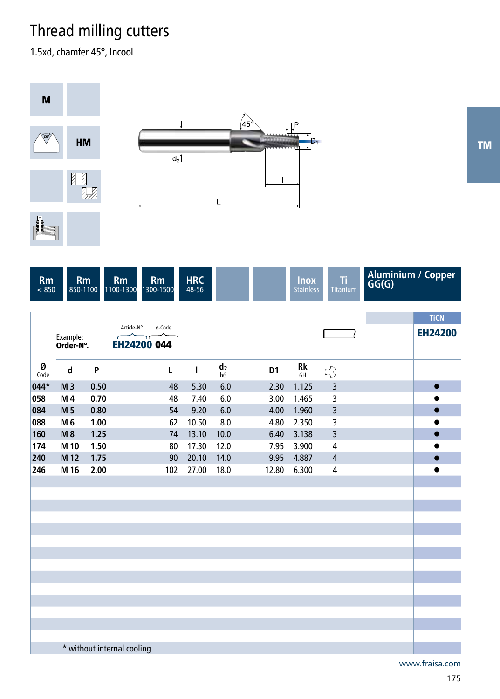## Thread milling cutters

\* without internal cooling

1.5xd, chamfer 45°, Incool



www.fraisa.com

TM